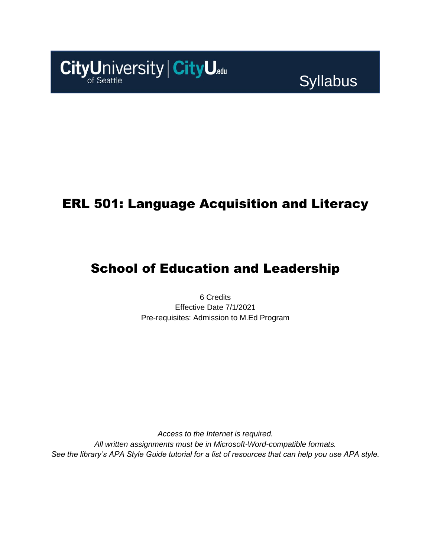

**Syllabus** 

## ERL 501: Language Acquisition and Literacy

# School of Education and Leadership

6 Credits Effective Date 7/1/2021 Pre-requisites: Admission to M.Ed Program

*Access to the Internet is required. All written assignments must be in Microsoft-Word-compatible formats. See the library's APA Style Guide tutorial for a list of resources that can help you use APA style.*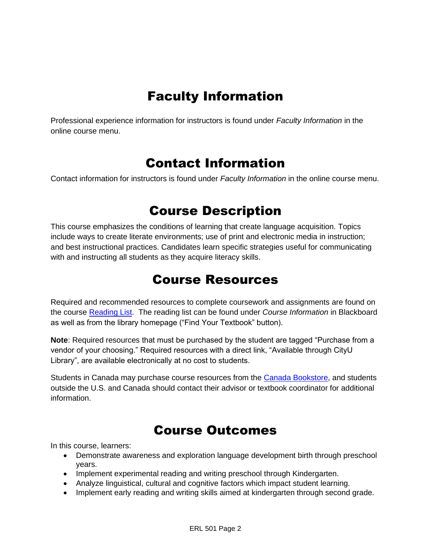# Faculty Information

Professional experience information for instructors is found under *Faculty Information* in the online course menu.

### Contact Information

Contact information for instructors is found under *Faculty Information* in the online course menu.

## Course Description

This course emphasizes the conditions of learning that create language acquisition. Topics include ways to create literate environments; use of print and electronic media in instruction; and best instructional practices. Candidates learn specific strategies useful for communicating with and instructing all students as they acquire literacy skills.

## Course Resources

Required and recommended resources to complete coursework and assignments are found on the course [Reading List.](https://cityu.alma.exlibrisgroup.com/leganto/login?auth=SAML) The reading list can be found under *Course Information* in Blackboard as well as from the library homepage ("Find Your Textbook" button).

**Note**: Required resources that must be purchased by the student are tagged "Purchase from a vendor of your choosing." Required resources with a direct link, "Available through CityU Library", are available electronically at no cost to students.

Students in Canada may purchase course resources from the [Canada Bookstore,](https://www.cityubookstore.ca/index.asp) and students outside the U.S. and Canada should contact their advisor or textbook coordinator for additional information.

## Course Outcomes

In this course, learners:

- Demonstrate awareness and exploration language development birth through preschool years.
- Implement experimental reading and writing preschool through Kindergarten.
- Analyze linguistical, cultural and cognitive factors which impact student learning.
- Implement early reading and writing skills aimed at kindergarten through second grade.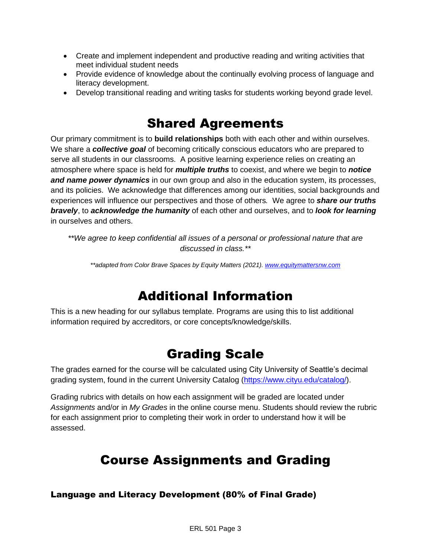- Create and implement independent and productive reading and writing activities that meet individual student needs
- Provide evidence of knowledge about the continually evolving process of language and literacy development.
- Develop transitional reading and writing tasks for students working beyond grade level.

## Shared Agreements

Our primary commitment is to **build relationships** both with each other and within ourselves. We share a *collective goal* of becoming critically conscious educators who are prepared to serve all students in our classrooms. A positive learning experience relies on creating an atmosphere where space is held for *multiple truths* to coexist, and where we begin to *notice and name power dynamics* in our own group and also in the education system, its processes, and its policies. We acknowledge that differences among our identities, social backgrounds and experiences will influence our perspectives and those of others*.* We agree to *share our truths bravely*, to *acknowledge the humanity* of each other and ourselves, and to *look for learning* in ourselves and others.

*\*\*We agree to keep confidential all issues of a personal or professional nature that are discussed in class.\*\**

*\*\*adapted from Color Brave Spaces by Equity Matters (2021)[. www.equitymattersnw.com](http://www.equitymattersnw.com/)*

## Additional Information

This is a new heading for our syllabus template. Programs are using this to list additional information required by accreditors, or core concepts/knowledge/skills.

### Grading Scale

The grades earned for the course will be calculated using City University of Seattle's decimal grading system, found in the current University Catalog [\(https://www.cityu.edu/catalog/\)](https://www.cityu.edu/catalog/).

Grading rubrics with details on how each assignment will be graded are located under *Assignments* and/or in *My Grades* in the online course menu. Students should review the rubric for each assignment prior to completing their work in order to understand how it will be assessed.

## Course Assignments and Grading

Language and Literacy Development (80% of Final Grade)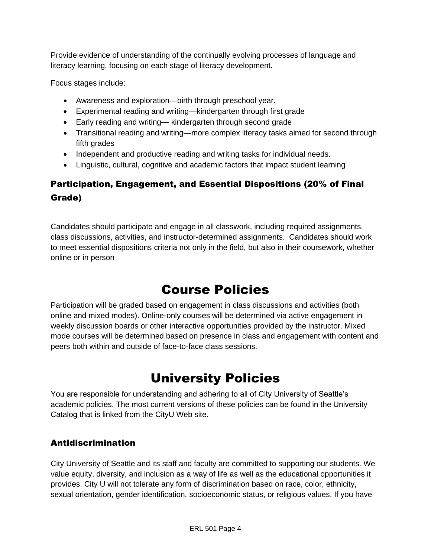Provide evidence of understanding of the continually evolving processes of language and literacy learning, focusing on each stage of literacy development.

Focus stages include:

- Awareness and exploration—birth through preschool year.
- Experimental reading and writing—kindergarten through first grade
- Early reading and writing— kindergarten through second grade
- Transitional reading and writing—more complex literacy tasks aimed for second through fifth grades
- Independent and productive reading and writing tasks for individual needs.
- Linguistic, cultural, cognitive and academic factors that impact student learning

### Participation, Engagement, and Essential Dispositions (20% of Final Grade)

Candidates should participate and engage in all classwork, including required assignments, class discussions, activities, and instructor-determined assignments. Candidates should work to meet essential dispositions criteria not only in the field, but also in their coursework, whether online or in person

## Course Policies

Participation will be graded based on engagement in class discussions and activities (both online and mixed modes). Online-only courses will be determined via active engagement in weekly discussion boards or other interactive opportunities provided by the instructor. Mixed mode courses will be determined based on presence in class and engagement with content and peers both within and outside of face-to-face class sessions.

# University Policies

You are responsible for understanding and adhering to all of City University of Seattle's academic policies. The most current versions of these policies can be found in the University Catalog that is linked from the CityU Web site.

### Antidiscrimination

City University of Seattle and its staff and faculty are committed to supporting our students. We value equity, diversity, and inclusion as a way of life as well as the educational opportunities it provides. City U will not tolerate any form of discrimination based on race, color, ethnicity, sexual orientation, gender identification, socioeconomic status, or religious values. If you have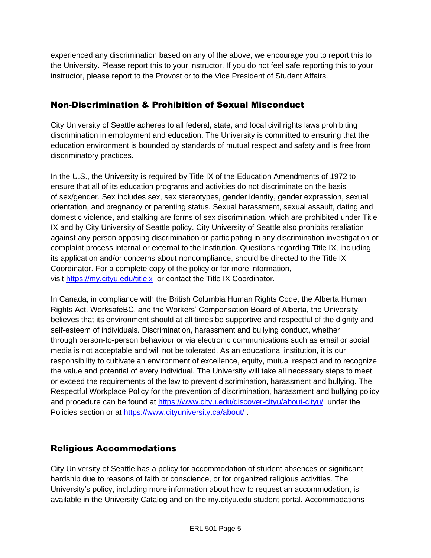experienced any discrimination based on any of the above, we encourage you to report this to the University. Please report this to your instructor. If you do not feel safe reporting this to your instructor, please report to the Provost or to the Vice President of Student Affairs.

### Non-Discrimination & Prohibition of Sexual Misconduct

City University of Seattle adheres to all federal, state, and local civil rights laws prohibiting discrimination in employment and education. The University is committed to ensuring that the education environment is bounded by standards of mutual respect and safety and is free from discriminatory practices.

In the U.S., the University is required by Title IX of the Education Amendments of 1972 to ensure that all of its education programs and activities do not discriminate on the basis of sex/gender. Sex includes sex, sex stereotypes, gender identity, gender expression, sexual orientation, and pregnancy or parenting status. Sexual harassment, sexual assault, dating and domestic violence, and stalking are forms of sex discrimination, which are prohibited under Title IX and by City University of Seattle policy. City University of Seattle also prohibits retaliation against any person opposing discrimination or participating in any discrimination investigation or complaint process internal or external to the institution. Questions regarding Title IX, including its application and/or concerns about noncompliance, should be directed to the Title IX Coordinator. For a complete copy of the policy or for more information, visit [https://my.cityu.edu/titleix](https://nam11.safelinks.protection.outlook.com/?url=https%3A%2F%2Fmy.cityu.edu%2Ftitleix&data=04%7C01%7Claker%40cityu.edu%7Cbc558c70c10340dbaa2408d9172365a0%7Cb3fa96d9f5154662add763d854e39e63%7C1%7C0%7C637566263054321964%7CUnknown%7CTWFpbGZsb3d8eyJWIjoiMC4wLjAwMDAiLCJQIjoiV2luMzIiLCJBTiI6Ik1haWwiLCJXVCI6Mn0%3D%7C1000&sdata=GX0hgfxN2OMKFTKjD04gqvwwyU44mfnCmEdCtsEzab0%3D&reserved=0) or contact the Title IX Coordinator.

In Canada, in compliance with the British Columbia Human Rights Code, the Alberta Human Rights Act, WorksafeBC, and the Workers' Compensation Board of Alberta, the University believes that its environment should at all times be supportive and respectful of the dignity and self-esteem of individuals. Discrimination, harassment and bullying conduct, whether through person-to-person behaviour or via electronic communications such as email or social media is not acceptable and will not be tolerated. As an educational institution, it is our responsibility to cultivate an environment of excellence, equity, mutual respect and to recognize the value and potential of every individual. The University will take all necessary steps to meet or exceed the requirements of the law to prevent discrimination, harassment and bullying. The Respectful Workplace Policy for the prevention of discrimination, harassment and bullying policy and procedure can be found at [https://www.cityu.edu/discover-cityu/about-cityu/](https://nam11.safelinks.protection.outlook.com/?url=https%3A%2F%2Fwww.cityu.edu%2Fdiscover-cityu%2Fabout-cityu%2F&data=04%7C01%7Claker%40cityu.edu%7Cbc558c70c10340dbaa2408d9172365a0%7Cb3fa96d9f5154662add763d854e39e63%7C1%7C0%7C637566263054331957%7CUnknown%7CTWFpbGZsb3d8eyJWIjoiMC4wLjAwMDAiLCJQIjoiV2luMzIiLCJBTiI6Ik1haWwiLCJXVCI6Mn0%3D%7C1000&sdata=7Q6QoqwuNLfeOJPewViWSeIwRIBy%2BoqDOiP8xSHYm78%3D&reserved=0) under the Policies section or at [https://www.cityuniversity.ca/about/](https://nam11.safelinks.protection.outlook.com/?url=https%3A%2F%2Fwww.cityuniversity.ca%2Fabout%2F&data=04%7C01%7Claker%40cityu.edu%7Cbc558c70c10340dbaa2408d9172365a0%7Cb3fa96d9f5154662add763d854e39e63%7C1%7C0%7C637566263054331957%7CUnknown%7CTWFpbGZsb3d8eyJWIjoiMC4wLjAwMDAiLCJQIjoiV2luMzIiLCJBTiI6Ik1haWwiLCJXVCI6Mn0%3D%7C1000&sdata=TX6bXEiU0CC6hC1mrTnKpuJywbR06qAj7RMu8QC4RUA%3D&reserved=0) .

#### Religious Accommodations

City University of Seattle has a policy for accommodation of student absences or significant hardship due to reasons of faith or conscience, or for organized religious activities. The University's policy, including more information about how to request an accommodation, is available in the University Catalog and on the my.cityu.edu student portal. Accommodations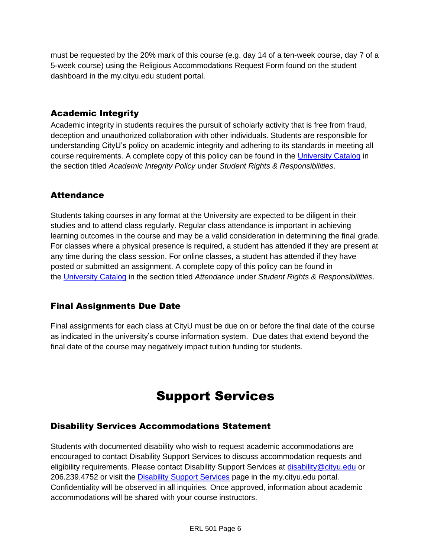must be requested by the 20% mark of this course (e.g. day 14 of a ten-week course, day 7 of a 5-week course) using the Religious Accommodations Request Form found on the student dashboard in the my.cityu.edu student portal.

### Academic Integrity

Academic integrity in students requires the pursuit of scholarly activity that is free from fraud, deception and unauthorized collaboration with other individuals. Students are responsible for understanding CityU's policy on academic integrity and adhering to its standards in meeting all course requirements. A complete copy of this policy can be found in the [University Catalog](https://nam11.safelinks.protection.outlook.com/?url=http%3A%2F%2Fwww.cityu.edu%2Fcatalog%2F&data=04%7C01%7Claker%40cityu.edu%7Cbc558c70c10340dbaa2408d9172365a0%7Cb3fa96d9f5154662add763d854e39e63%7C1%7C0%7C637566263054341952%7CUnknown%7CTWFpbGZsb3d8eyJWIjoiMC4wLjAwMDAiLCJQIjoiV2luMzIiLCJBTiI6Ik1haWwiLCJXVCI6Mn0%3D%7C1000&sdata=aL6fsSyLtVzJgdrlE9PtZXb%2F3H6wCdrvPcw4zOoEYTI%3D&reserved=0) in the section titled *Academic Integrity Policy* under *Student Rights & Responsibilities*.

### **Attendance**

Students taking courses in any format at the University are expected to be diligent in their studies and to attend class regularly. Regular class attendance is important in achieving learning outcomes in the course and may be a valid consideration in determining the final grade. For classes where a physical presence is required, a student has attended if they are present at any time during the class session. For online classes, a student has attended if they have posted or submitted an assignment. A complete copy of this policy can be found in the [University Catalog](https://nam11.safelinks.protection.outlook.com/?url=http%3A%2F%2Fwww.cityu.edu%2Fcatalog%2F&data=04%7C01%7Claker%40cityu.edu%7Cbc558c70c10340dbaa2408d9172365a0%7Cb3fa96d9f5154662add763d854e39e63%7C1%7C0%7C637566263054341952%7CUnknown%7CTWFpbGZsb3d8eyJWIjoiMC4wLjAwMDAiLCJQIjoiV2luMzIiLCJBTiI6Ik1haWwiLCJXVCI6Mn0%3D%7C1000&sdata=aL6fsSyLtVzJgdrlE9PtZXb%2F3H6wCdrvPcw4zOoEYTI%3D&reserved=0) in the section titled *Attendance* under *Student Rights & Responsibilities*.

### Final Assignments Due Date

Final assignments for each class at CityU must be due on or before the final date of the course as indicated in the university's course information system. Due dates that extend beyond the final date of the course may negatively impact tuition funding for students.

# Support Services

### Disability Services Accommodations Statement

Students with documented disability who wish to request academic accommodations are encouraged to contact Disability Support Services to discuss accommodation requests and eligibility requirements. Please contact Disability Support Services at [disability@cityu.edu](mailto:disability@cityu.edu) or 206.239.4752 or visit the [Disability Support Services](https://nam11.safelinks.protection.outlook.com/?url=https%3A%2F%2Fmy.cityu.edu%2Fdepartment%2Fdisability-support-services%2F&data=04%7C01%7Claker%40cityu.edu%7Cbc558c70c10340dbaa2408d9172365a0%7Cb3fa96d9f5154662add763d854e39e63%7C1%7C0%7C637566263054351946%7CUnknown%7CTWFpbGZsb3d8eyJWIjoiMC4wLjAwMDAiLCJQIjoiV2luMzIiLCJBTiI6Ik1haWwiLCJXVCI6Mn0%3D%7C1000&sdata=e%2FOzbhqrB5SP38rzkwNSwviN3V%2Fv%2BsJNtdettuKSolw%3D&reserved=0) page in the my.cityu.edu portal. Confidentiality will be observed in all inquiries. Once approved, information about academic accommodations will be shared with your course instructors.